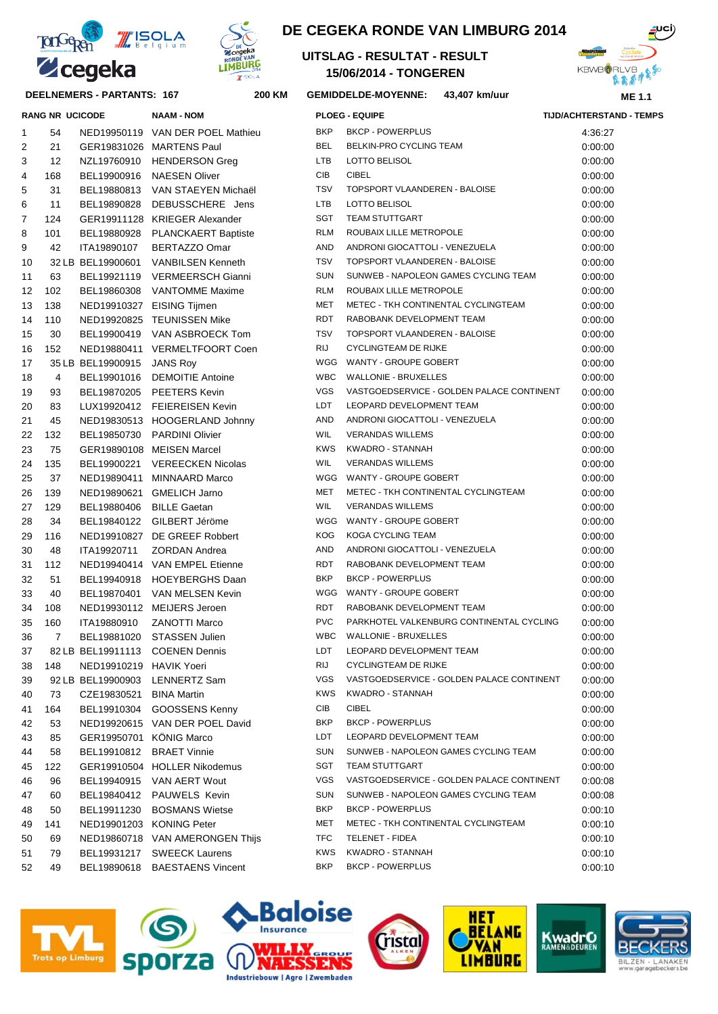



#### **DEELNEMERS - PARTANTS: 167 200**

# **DE CEGEKA RONDE VAN LIMBURG 2014**

### **15/06/2014 - TONGEREN UITSLAG - RESULTAT - RESULT**



#### **KM GEMIDDELDE-MOYENNE: 43,407 km/uur**

|    | <b>RANG NR UCICODE</b> |                            | <b>NAAM - NOM</b>                   |            | <b>PLOEG - EQUIPE</b>                     | <b>TIJD/ACHTERSTAND - TEMPS</b> |  |
|----|------------------------|----------------------------|-------------------------------------|------------|-------------------------------------------|---------------------------------|--|
| 1  | 54                     |                            | NED19950119 VAN DER POEL Mathieu    | <b>BKP</b> | <b>BKCP - POWERPLUS</b>                   | 4:36:27                         |  |
| 2  | 21                     |                            | GER19831026 MARTENS Paul            | <b>BEL</b> | BELKIN-PRO CYCLING TEAM                   | 0:00:00                         |  |
| 3  | 12                     |                            | NZL19760910 HENDERSON Greg          | <b>LTB</b> | <b>LOTTO BELISOL</b>                      | 0:00:00                         |  |
| 4  | 168                    |                            | BEL19900916 NAESEN Oliver           | CIB        | <b>CIBEL</b>                              | 0:00:00                         |  |
| 5  | 31                     |                            | BEL19880813 VAN STAEYEN Michaël     | <b>TSV</b> | TOPSPORT VLAANDEREN - BALOISE             | 0:00:00                         |  |
| 6  | 11                     | BEL19890828                | DEBUSSCHERE Jens                    | LTB        | LOTTO BELISOL                             | 0:00:00                         |  |
| 7  | 124                    |                            | GER19911128 KRIEGER Alexander       | <b>SGT</b> | <b>TEAM STUTTGART</b>                     | 0:00:00                         |  |
| 8  | 101                    |                            | BEL19880928 PLANCKAERT Baptiste     | <b>RLM</b> | ROUBAIX LILLE METROPOLE                   | 0:00:00                         |  |
| 9  | 42                     | ITA19890107                | <b>BERTAZZO Omar</b>                | AND        | ANDRONI GIOCATTOLI - VENEZUELA            | 0:00:00                         |  |
| 10 |                        |                            | 32 LB BEL19900601 VANBILSEN Kenneth | <b>TSV</b> | TOPSPORT VLAANDEREN - BALOISE             | 0:00:00                         |  |
| 11 | 63                     |                            | BEL19921119 VERMEERSCH Gianni       | <b>SUN</b> | SUNWEB - NAPOLEON GAMES CYCLING TEAM      | 0:00:00                         |  |
| 12 | 102                    |                            | BEL19860308 VANTOMME Maxime         | <b>RLM</b> | ROUBAIX LILLE METROPOLE                   | 0:00:00                         |  |
| 13 | 138                    |                            | NED19910327 EISING Tijmen           | <b>MET</b> | METEC - TKH CONTINENTAL CYCLINGTEAM       | 0:00:00                         |  |
| 14 | 110                    |                            | NED19920825 TEUNISSEN Mike          | <b>RDT</b> | RABOBANK DEVELOPMENT TEAM                 | 0:00:00                         |  |
| 15 | 30                     |                            | BEL19900419 VAN ASBROECK Tom        | <b>TSV</b> | TOPSPORT VLAANDEREN - BALOISE             | 0:00:00                         |  |
| 16 | 152                    |                            | NED19880411 VERMELTFOORT Coen       | <b>RIJ</b> | <b>CYCLINGTEAM DE RIJKE</b>               | 0:00:00                         |  |
| 17 |                        | 35 LB BEL19900915 JANS Roy |                                     |            | WGG WANTY - GROUPE GOBERT                 | 0:00:00                         |  |
| 18 | $\overline{4}$         |                            | BEL19901016 DEMOITIE Antoine        | <b>WBC</b> | <b>WALLONIE - BRUXELLES</b>               | 0:00:00                         |  |
| 19 | 93                     |                            | BEL19870205 PEETERS Kevin           | <b>VGS</b> | VASTGOEDSERVICE - GOLDEN PALACE CONTINENT | 0:00:00                         |  |
| 20 | 83                     |                            | LUX19920412 FEIEREISEN Kevin        | LDT        | LEOPARD DEVELOPMENT TEAM                  | 0:00:00                         |  |
| 21 | 45                     |                            | NED19830513 HOOGERLAND Johnny       | AND        | ANDRONI GIOCATTOLI - VENEZUELA            | 0:00:00                         |  |
| 22 | 132                    | BEL19850730                | <b>PARDINI Olivier</b>              | WIL        | <b>VERANDAS WILLEMS</b>                   | 0:00:00                         |  |
| 23 | 75                     |                            | GER19890108 MEISEN Marcel           | <b>KWS</b> | KWADRO - STANNAH                          | 0:00:00                         |  |
| 24 | 135                    |                            | BEL19900221 VEREECKEN Nicolas       | WIL        | <b>VERANDAS WILLEMS</b>                   | 0:00:00                         |  |
| 25 | 37                     |                            | NED19890411 MINNAARD Marco          | WGG        | WANTY - GROUPE GOBERT                     | 0:00:00                         |  |
| 26 | 139                    |                            | NED19890621 GMELICH Jarno           | MET        | METEC - TKH CONTINENTAL CYCLINGTEAM       | 0:00:00                         |  |
| 27 | 129                    | BEL19880406 BILLE Gaetan   |                                     | WIL        | <b>VERANDAS WILLEMS</b>                   | 0:00:00                         |  |
| 28 | 34                     |                            | BEL19840122 GILBERT Jéröme          | WGG        | WANTY - GROUPE GOBERT                     | 0:00:00                         |  |
| 29 | 116                    |                            | NED19910827 DE GREEF Robbert        | <b>KOG</b> | KOGA CYCLING TEAM                         | 0:00:00                         |  |
| 30 | 48                     | ITA19920711                | <b>ZORDAN Andrea</b>                | AND        | ANDRONI GIOCATTOLI - VENEZUELA            | 0:00:00                         |  |
| 31 | 112                    |                            | NED19940414 VAN EMPEL Etienne       | <b>RDT</b> | RABOBANK DEVELOPMENT TEAM                 | 0:00:00                         |  |
| 32 | 51                     |                            | BEL19940918 HOEYBERGHS Daan         | <b>BKP</b> | <b>BKCP - POWERPLUS</b>                   | 0:00:00                         |  |
| 33 | 40                     |                            | BEL19870401 VAN MELSEN Kevin        | WGG        | WANTY - GROUPE GOBERT                     | 0:00:00                         |  |
| 34 | 108                    |                            | NED19930112 MEIJERS Jeroen          | <b>RDT</b> | RABOBANK DEVELOPMENT TEAM                 | 0:00:00                         |  |
| 35 | 160                    | ITA19880910                | <b>ZANOTTI Marco</b>                | <b>PVC</b> | PARKHOTEL VALKENBURG CONTINENTAL CYCLING  | 0:00:00                         |  |
| 36 | $\overline{7}$         |                            | BEL19881020 STASSEN Julien          | <b>WBC</b> | <b>WALLONIE - BRUXELLES</b>               | 0:00:00                         |  |
| 37 |                        |                            | 82 LB BEL19911113 COENEN Dennis     |            | LDT LEOPARD DEVELOPMENT TEAM              | 0:00:00                         |  |
| 38 | 148                    | NED19910219 HAVIK Yoeri    |                                     | RIJ        | <b>CYCLINGTEAM DE RIJKE</b>               | 0:00:00                         |  |
| 39 |                        |                            | 92 LB BEL19900903 LENNERTZ Sam      | <b>VGS</b> | VASTGOEDSERVICE - GOLDEN PALACE CONTINENT | 0:00:00                         |  |
| 40 | 73                     | CZE19830521 BINA Martin    |                                     | <b>KWS</b> | KWADRO - STANNAH                          | 0:00:00                         |  |
| 41 | 164                    |                            | BEL19910304 GOOSSENS Kenny          | CIB        | <b>CIBEL</b>                              | 0:00:00                         |  |
| 42 | 53                     |                            | NED19920615 VAN DER POEL David      | <b>BKP</b> | <b>BKCP - POWERPLUS</b>                   | 0:00:00                         |  |
| 43 | 85                     | GER19950701 KÖNIG Marco    |                                     | LDT        | LEOPARD DEVELOPMENT TEAM                  | 0.00:00                         |  |
| 44 | 58                     | BEL19910812 BRAET Vinnie   |                                     | SUN        | SUNWEB - NAPOLEON GAMES CYCLING TEAM      | 0:00:00                         |  |
| 45 | 122                    |                            | GER19910504 HOLLER Nikodemus        | SGT        | <b>TEAM STUTTGART</b>                     | 0:00:00                         |  |
| 46 | 96                     |                            | BEL19940915 VAN AERT Wout           | VGS        | VASTGOEDSERVICE - GOLDEN PALACE CONTINENT | 0:00:08                         |  |
| 47 | 60                     |                            | BEL19840412 PAUWELS Kevin           | SUN        | SUNWEB - NAPOLEON GAMES CYCLING TEAM      | 0:00:08                         |  |
| 48 | 50                     |                            | BEL19911230 BOSMANS Wietse          | <b>BKP</b> | <b>BKCP - POWERPLUS</b>                   | 0:00:10                         |  |
| 49 | 141                    |                            | NED19901203 KONING Peter            | MET        | METEC - TKH CONTINENTAL CYCLINGTEAM       | 0:00:10                         |  |
| 50 | 69                     |                            | NED19860718 VAN AMERONGEN Thijs     | <b>TFC</b> | TELENET - FIDEA                           | 0:00:10                         |  |
| 51 | 79                     |                            | BEL19931217 SWEECK Laurens          | KWS        | KWADRO - STANNAH                          | 0:00:10                         |  |
| 52 | 49                     |                            | BEL19890618 BAESTAENS Vincent       | BKP        | <b>BKCP - POWERPLUS</b>                   | 0:00:10                         |  |









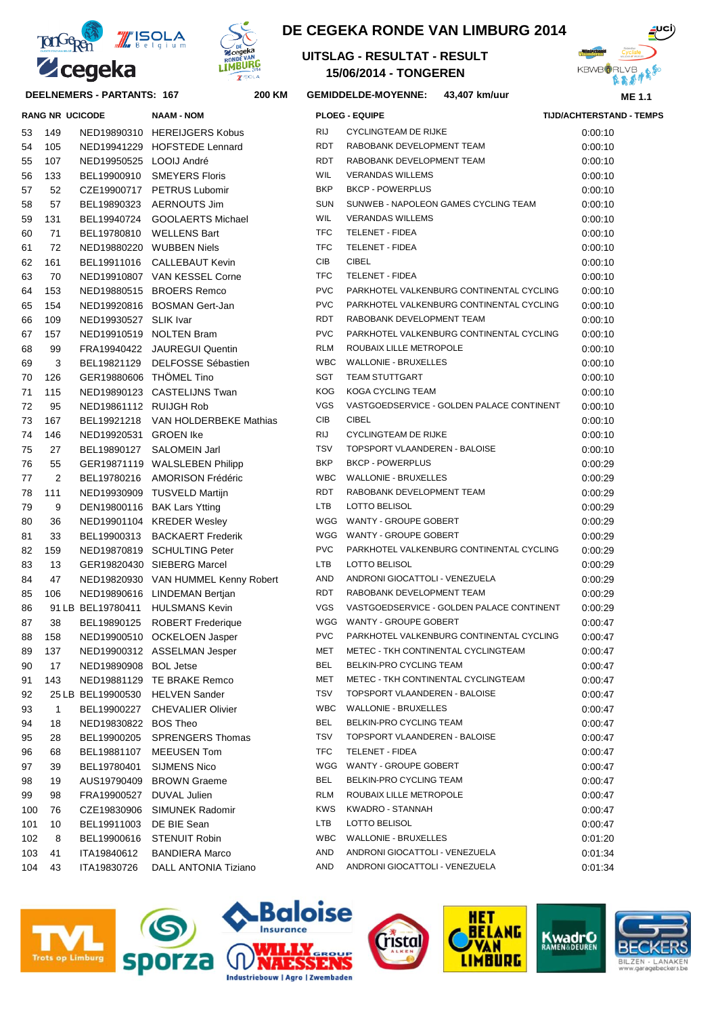



## **DEELNEMERS - PARTANTS: 167 200**

#### 53 149 NED19890310 HEREIJGERS Kobus 54 105 NED19941229 HOFSTEDE Lennard 55 107 NED19950525 LOOIJ André 56 133 BEL19900910 SMEYERS Floris 57 52 CZE19900717 PETRUS Lubomir 58 57 BEL19890323 AERNOUTS Jim 59 131 BEL19940724 GOOLAERTS Michael 60 71 BEL19780810 WELLENS Bart 61 72 NED19880220 WUBBEN Niels 62 161 BEL19911016 CALLEBAUT Kevin 63 70 NED19910807 VAN KESSEL Corne 64 153 NED19880515 BROERS Remco 65 154 NED19920816 BOSMAN Gert-Jan 66 109 NED19930527 SLIK Ivar 67 157 NED19910519 NOLTEN Bram 68 99 FRA19940422 JAUREGUI Quentin 69 3 BEL19821129 DELFOSSE Sébastien 70 126 GER19880606 THÖMEL Tino 71 115 NED19890123 CASTELIJNS Twan 72 95 NED19861112 RUIJGH Rob 73 167 BEL19921218 VAN HOLDERBEKE Mathias 74 146 NED19920531 GROEN Ike 75 27 BEL19890127 SALOMEIN Jarl 76 55 GER19871119 WALSLEBEN Philipp 77 2 BEL19780216 AMORISON Frédéric 78 111 NED19930909 TUSVELD Martijn 79 9 DEN19800116 BAK Lars Ytting 80 36 NED19901104 KREDER Wesley 81 33 BEL19900313 BACKAERT Frederik 82 159 NED19870819 SCHULTING Peter 83 13 GER19820430 SIEBERG Marcel 84 47 NED19820930 VAN HUMMEL Kenny Robert 85 106 NED19890616 LINDEMAN Bertjan 86 91 LB BEL19780411 HULSMANS Kevin 87 38 BEL19890125 ROBERT Frederique 88 158 NED19900510 OCKELOEN Jasper 89 137 NED19900312 ASSELMAN Jesper 90 17 NED19890908 BOL Jetse 91 143 NED19881129 TE BRAKE Remco 92 25 LB BEL19900530 HELVEN Sander 93 1 BEL19900227 CHEVALIER Olivier 94 18 NED19830822 BOS Theo 95 28 BEL19900205 SPRENGERS Thomas 96 68 BEL19881107 MEEUSEN Tom 97 39 BEL19780401 SIJMENS Nico 98 19 AUS19790409 BROWN Graeme 99 98 FRA19900527 DUVAL Julien 100 76 CZE19830906 SIMUNEK Radomir 101 10 BEL19911003 DE BIE Sean 102 8 BEL19900616 STENUIT Robin 103 41 ITA19840612 BANDIERA Marco 104 43 ITA19830726 DALL ANTONIA Tiziano



### **15/06/2014 - TONGEREN UITSLAG - RESULTAT - RESULT**



### **KM GEMIDDELDE-MOYENNE: 43,407 km/uur**

|     |                | <b>RANG NR UCICODE</b>  | <b>NAAM - NOM</b>                   |            | <b>PLOEG - EQUIPE</b>                     | <b>TIJD/ACHTERSTAND - TEMPS</b> |
|-----|----------------|-------------------------|-------------------------------------|------------|-------------------------------------------|---------------------------------|
| 53  | 149            |                         | NED19890310 HEREIJGERS Kobus        | RIJ        | <b>CYCLINGTEAM DE RIJKE</b>               | 0:00:10                         |
| 54  | 105            |                         | NED19941229 HOFSTEDE Lennard        | RDT        | RABOBANK DEVELOPMENT TEAM                 | 0:00:10                         |
| 55  | 107            | NED19950525 LOOIJ André |                                     | RDT        | RABOBANK DEVELOPMENT TEAM                 | 0:00:10                         |
| 56  | 133            | BEL19900910             | <b>SMEYERS Floris</b>               | WIL        | <b>VERANDAS WILLEMS</b>                   | 0:00:10                         |
| 57  | 52             |                         | CZE19900717 PETRUS Lubomir          | <b>BKP</b> | <b>BKCP - POWERPLUS</b>                   | 0:00:10                         |
| 58  | 57             | BEL19890323             | AERNOUTS Jim                        | <b>SUN</b> | SUNWEB - NAPOLEON GAMES CYCLING TEAM      | 0:00:10                         |
| 59  | 131            |                         | BEL19940724 GOOLAERTS Michael       | WIL        | <b>VERANDAS WILLEMS</b>                   | 0:00:10                         |
| 60  | 71             | BEL19780810             | WELLENS Bart                        | <b>TFC</b> | <b>TELENET - FIDEA</b>                    | 0:00:10                         |
| 61  | 72             |                         | NED19880220 WUBBEN Niels            | <b>TFC</b> | <b>TELENET - FIDEA</b>                    | 0:00:10                         |
| 62  | 161            |                         | BEL19911016 CALLEBAUT Kevin         | CIB        | <b>CIBEL</b>                              | 0:00:10                         |
| 63  | 70             |                         | NED19910807 VAN KESSEL Corne        | <b>TFC</b> | TELENET - FIDEA                           | 0:00:10                         |
| 64  | 153            |                         | NED19880515 BROERS Remco            | <b>PVC</b> | PARKHOTEL VALKENBURG CONTINENTAL CYCLING  | 0:00:10                         |
| 65  | 154            |                         | NED19920816 BOSMAN Gert-Jan         | <b>PVC</b> | PARKHOTEL VALKENBURG CONTINENTAL CYCLING  | 0:00:10                         |
| 66  | 109            | NED19930527 SLIK Ivar   |                                     | <b>RDT</b> | RABOBANK DEVELOPMENT TEAM                 | 0:00:10                         |
| 67  | 157            |                         | NED19910519 NOLTEN Bram             | <b>PVC</b> | PARKHOTEL VALKENBURG CONTINENTAL CYCLING  | 0:00:10                         |
| 68  | 99             |                         | FRA19940422 JAUREGUI Quentin        | <b>RLM</b> | ROUBAIX LILLE METROPOLE                   | 0:00:10                         |
| 69  | 3              |                         | BEL19821129 DELFOSSE Sébastien      | <b>WBC</b> | <b>WALLONIE - BRUXELLES</b>               | 0:00:10                         |
| 70  | 126            | GER19880606 THÖMEL Tino |                                     | SGT        | <b>TEAM STUTTGART</b>                     | 0:00:10                         |
| 71  | 115            |                         | NED19890123 CASTELIJNS Twan         | <b>KOG</b> | KOGA CYCLING TEAM                         | 0:00:10                         |
| 72  | 95             | NED19861112 RUIJGH Rob  |                                     | <b>VGS</b> | VASTGOEDSERVICE - GOLDEN PALACE CONTINENT | 0:00:10                         |
| 73  | 167            |                         | BEL19921218 VAN HOLDERBEKE Mathias  | CIB        | <b>CIBEL</b>                              | 0:00:10                         |
| 74  | 146            | NED19920531 GROEN Ike   |                                     | <b>RIJ</b> | <b>CYCLINGTEAM DE RIJKE</b>               | 0:00:10                         |
| 75  | 27             | BEL19890127             | <b>SALOMEIN Jarl</b>                | <b>TSV</b> | TOPSPORT VLAANDEREN - BALOISE             | 0:00:10                         |
| 76  | 55             |                         | GER19871119 WALSLEBEN Philipp       | <b>BKP</b> | <b>BKCP - POWERPLUS</b>                   | 0:00:29                         |
| 77  | $\overline{2}$ |                         | BEL19780216 AMORISON Frédéric       | <b>WBC</b> | <b>WALLONIE - BRUXELLES</b>               | 0:00:29                         |
| 78  | 111            |                         | NED19930909 TUSVELD Martijn         | RDT        | RABOBANK DEVELOPMENT TEAM                 | 0:00:29                         |
| 79  | 9              |                         | DEN19800116 BAK Lars Ytting         | <b>LTB</b> | LOTTO BELISOL                             | 0:00:29                         |
| 80  | 36             |                         | NED19901104 KREDER Wesley           | WGG        | WANTY - GROUPE GOBERT                     | 0:00:29                         |
| 81  | 33             |                         | BEL19900313 BACKAERT Frederik       | WGG        | WANTY - GROUPE GOBERT                     | 0:00:29                         |
| 82  | 159            |                         | NED19870819 SCHULTING Peter         | <b>PVC</b> | PARKHOTEL VALKENBURG CONTINENTAL CYCLING  | 0:00:29                         |
| 83  | 13             |                         | GER19820430 SIEBERG Marcel          | LTB        | LOTTO BELISOL                             | 0:00:29                         |
| 84  | 47             |                         | NED19820930 VAN HUMMEL Kenny Robert | AND        | ANDRONI GIOCATTOLI - VENEZUELA            | 0:00:29                         |
| 85  | 106            |                         | NED19890616 LINDEMAN Bertjan        | RDT        | RABOBANK DEVELOPMENT TEAM                 | 0:00:29                         |
| 86  |                | 91 LB BEL19780411       | HULSMANS Kevin                      | <b>VGS</b> | VASTGOEDSERVICE - GOLDEN PALACE CONTINENT | 0:00:29                         |
| 87  | 38             | BEL19890125             | <b>ROBERT Frederique</b>            | WGG        | WANTY - GROUPE GOBERT                     | 0:00.47                         |
| 88  | 158            |                         | NED19900510 OCKELOEN Jasper         | <b>PVC</b> | PARKHOTEL VALKENBURG CONTINENTAL CYCLING  | 0:00:47                         |
| 89  | 137            |                         | NED19900312 ASSELMAN Jesper         | MET        | METEC - TKH CONTINENTAL CYCLINGTEAM       | 0:00:47                         |
| 90  | 17             | NED19890908 BOL Jetse   |                                     | BEL        | BELKIN-PRO CYCLING TEAM                   | 0:00:47                         |
| 91  | 143            |                         | NED19881129 TE BRAKE Remco          | MET        | METEC - TKH CONTINENTAL CYCLINGTEAM       | 0:00:47                         |
| 92  |                |                         | 25 LB BEL19900530 HELVEN Sander     | TSV        | TOPSPORT VLAANDEREN - BALOISE             | 0:00:47                         |
| 93  | 1              | BEL19900227             | <b>CHEVALIER Olivier</b>            | <b>WBC</b> | <b>WALLONIE - BRUXELLES</b>               | 0:00:47                         |
| 94  | 18             | NED19830822 BOS Theo    |                                     | <b>BEL</b> | BELKIN-PRO CYCLING TEAM                   | 0:00:47                         |
| 95  | 28             | BEL19900205             | <b>SPRENGERS Thomas</b>             | TSV        | TOPSPORT VLAANDEREN - BALOISE             | 0:00:47                         |
| 96  | 68             | BEL19881107             | MEEUSEN Tom                         | TFC        | TELENET - FIDEA                           | 0:00:47                         |
| 97  | 39             | BEL19780401             | <b>SIJMENS Nico</b>                 | WGG        | WANTY - GROUPE GOBERT                     | 0:00:47                         |
| 98  | 19             |                         | AUS19790409 BROWN Graeme            | BEL        | BELKIN-PRO CYCLING TEAM                   | 0:00:47                         |
| 99  | 98             |                         | FRA19900527 DUVAL Julien            | RLM        | ROUBAIX LILLE METROPOLE                   | 0:00:47                         |
| 100 | 76             | CZE19830906             | SIMUNEK Radomir                     | <b>KWS</b> | KWADRO - STANNAH                          | 0:00:47                         |
| 101 | 10             | BEL19911003             | DE BIE Sean                         | LTB        | LOTTO BELISOL                             | 0:00:47                         |
| 102 | 8              |                         | BEL19900616 STENUIT Robin           | <b>WBC</b> | <b>WALLONIE - BRUXELLES</b>               | 0:01:20                         |
| 103 | 41             | ITA19840612             | <b>BANDIERA Marco</b>               | AND        | ANDRONI GIOCATTOLI - VENEZUELA            | 0:01:34                         |
| 104 | 43             |                         | ITA19830726 DALL ANTONIA Tiziano    | AND        | ANDRONI GIOCATTOLI - VENEZUELA            | 0:01:34                         |
|     |                |                         |                                     |            |                                           |                                 |











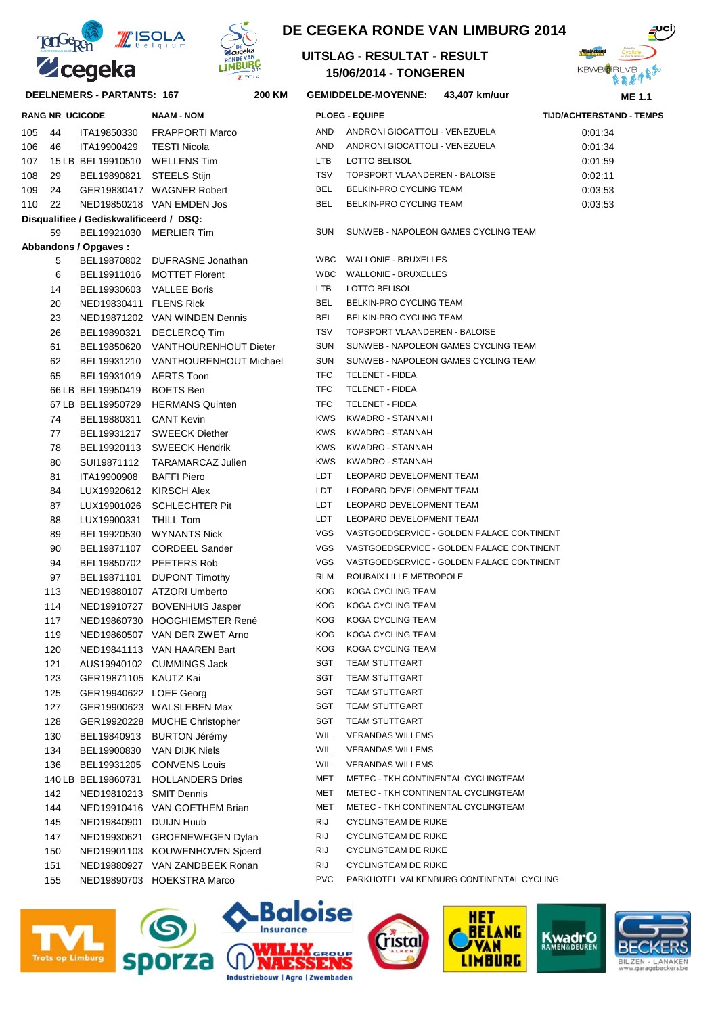

**DEELNEMERS - PARTANTS: 167 200**



# **DE CEGEKA RONDE VAN LIMBURG 2014**

## **15/06/2014 - TONGEREN UITSLAG - RESULTAT - RESULT**

**KM GEMIDDELDE-MOYENNE: 43,407 km/uur**



| <b>RANG NR UCICODE</b> |     |                                         | <b>NAAM - NOM</b>                   | <b>PLOEG - EQUIPE</b> |                                           | <b>TIJD/ACHTERSTAND - TEMPS</b> |
|------------------------|-----|-----------------------------------------|-------------------------------------|-----------------------|-------------------------------------------|---------------------------------|
| 105                    | 44  | ITA19850330                             | FRAPPORTI Marco                     | AND                   | ANDRONI GIOCATTOLI - VENEZUELA            | 0:01:34                         |
| 106                    | 46  | ITA19900429                             | TESTI Nicola                        | AND                   | ANDRONI GIOCATTOLI - VENEZUELA            | 0:01:34                         |
| 107                    |     | 15 LB BEL19910510 WELLENS Tim           |                                     | LTB                   | LOTTO BELISOL                             | 0:01:59                         |
| 108                    | 29  | BEL19890821 STEELS Stijn                |                                     | TSV                   | TOPSPORT VLAANDEREN - BALOISE             | 0:02:11                         |
| 109                    | 24  |                                         | GER19830417 WAGNER Robert           | BEL                   | BELKIN-PRO CYCLING TEAM                   | 0:03:53                         |
| 110                    | 22  |                                         | NED19850218 VAN EMDEN Jos           | <b>BEL</b>            | BELKIN-PRO CYCLING TEAM                   | 0:03:53                         |
|                        |     | Disqualifiee / Gediskwalificeerd / DSQ: |                                     |                       |                                           |                                 |
|                        | 59  | BEL19921030 MERLIER Tim                 |                                     | SUN                   | SUNWEB - NAPOLEON GAMES CYCLING TEAM      |                                 |
|                        |     | Abbandons / Opgaves:                    |                                     |                       |                                           |                                 |
|                        | 5   |                                         | BEL19870802 DUFRASNE Jonathan       |                       | WBC WALLONIE - BRUXELLES                  |                                 |
|                        | 6   |                                         | BEL19911016 MOTTET Florent          |                       | WBC WALLONIE - BRUXELLES                  |                                 |
|                        | 14  | BEL19930603 VALLEE Boris                |                                     | LTB                   | LOTTO BELISOL                             |                                 |
|                        | 20  | NED19830411 FLENS Rick                  |                                     | <b>BEL</b>            | BELKIN-PRO CYCLING TEAM                   |                                 |
|                        | 23  |                                         | NED19871202 VAN WINDEN Dennis       | <b>BEL</b>            | BELKIN-PRO CYCLING TEAM                   |                                 |
|                        | 26  |                                         | BEL19890321 DECLERCQ Tim            | TSV                   | TOPSPORT VLAANDEREN - BALOISE             |                                 |
|                        | 61  |                                         | BEL19850620 VANTHOURENHOUT Dieter   | <b>SUN</b>            | SUNWEB - NAPOLEON GAMES CYCLING TEAM      |                                 |
|                        | 62  |                                         | BEL19931210 VANTHOURENHOUT Michael  | <b>SUN</b>            | SUNWEB - NAPOLEON GAMES CYCLING TEAM      |                                 |
|                        | 65  | BEL19931019 AERTS Toon                  |                                     | <b>TFC</b>            | <b>TELENET - FIDEA</b>                    |                                 |
|                        |     | 66 LB BEL19950419 BOETS Ben             |                                     | <b>TFC</b>            | <b>TELENET - FIDEA</b>                    |                                 |
|                        |     |                                         | 67 LB BEL19950729 HERMANS Quinten   | <b>TFC</b>            | <b>TELENET - FIDEA</b>                    |                                 |
|                        | 74  | BEL19880311 CANT Kevin                  |                                     | <b>KWS</b>            | KWADRO - STANNAH                          |                                 |
|                        | 77  |                                         | BEL19931217 SWEECK Diether          | KWS                   | KWADRO - STANNAH                          |                                 |
|                        | 78  |                                         | BEL19920113 SWEECK Hendrik          | KWS                   | KWADRO - STANNAH                          |                                 |
|                        | 80  |                                         | SUI19871112 TARAMARCAZ Julien       | KWS                   | KWADRO - STANNAH                          |                                 |
|                        | 81  | ITA19900908                             | BAFFI Piero                         | LDT                   | LEOPARD DEVELOPMENT TEAM                  |                                 |
|                        | 84  | LUX19920612 KIRSCH Alex                 |                                     | LDT                   | LEOPARD DEVELOPMENT TEAM                  |                                 |
|                        | 87  |                                         | LUX19901026 SCHLECHTER Pit          | LDT                   | LEOPARD DEVELOPMENT TEAM                  |                                 |
|                        | 88  | LUX19900331 THILL Tom                   |                                     | LDT                   | LEOPARD DEVELOPMENT TEAM                  |                                 |
|                        | 89  |                                         | BEL19920530 WYNANTS Nick            | VGS                   | VASTGOEDSERVICE - GOLDEN PALACE CONTINENT |                                 |
|                        | 90  |                                         | BEL19871107 CORDEEL Sander          | VGS                   | VASTGOEDSERVICE - GOLDEN PALACE CONTINENT |                                 |
|                        | 94  | BEL19850702 PEETERS Rob                 |                                     | <b>VGS</b>            | VASTGOEDSERVICE - GOLDEN PALACE CONTINENT |                                 |
|                        | 97  |                                         | BEL19871101 DUPONT Timothy          | RLM                   | ROUBAIX LILLE METROPOLE                   |                                 |
|                        | 113 |                                         | NED19880107 ATZORI Umberto          | KOG                   | KOGA CYCLING TEAM                         |                                 |
|                        | 114 |                                         | NED19910727 BOVENHUIS Jasper        | KOG                   | KOGA CYCLING TEAM                         |                                 |
|                        | 117 |                                         | NED19860730 HOOGHIEMSTER René       | <b>KOG</b>            | KOGA CYCLING TEAM                         |                                 |
|                        | 119 |                                         | NED19860507 VAN DER ZWET Arno       | KOG                   | KOGA CYCLING TEAM                         |                                 |
|                        | 120 |                                         | NED19841113 VAN HAAREN Bart         |                       | KOG KOGA CYCLING TEAM                     |                                 |
|                        | 121 |                                         | AUS19940102 CUMMINGS Jack           | SGT                   | <b>TEAM STUTTGART</b>                     |                                 |
|                        | 123 | GER19871105 KAUTZ Kai                   |                                     | SGT                   | TEAM STUTTGART                            |                                 |
|                        | 125 | GER19940622 LOEF Georg                  |                                     | SGT                   | TEAM STUTTGART                            |                                 |
|                        | 127 |                                         | GER19900623 WALSLEBEN Max           | SGT                   | TEAM STUTTGART                            |                                 |
|                        | 128 |                                         | GER19920228 MUCHE Christopher       | SGT                   | TEAM STUTTGART                            |                                 |
|                        | 130 |                                         | BEL19840913 BURTON Jérémy           | WIL                   | <b>VERANDAS WILLEMS</b>                   |                                 |
|                        | 134 |                                         | BEL19900830 VAN DIJK Niels          | WIL                   | <b>VERANDAS WILLEMS</b>                   |                                 |
|                        | 136 |                                         | BEL19931205 CONVENS Louis           | WIL                   | <b>VERANDAS WILLEMS</b>                   |                                 |
|                        |     |                                         | 140 LB BEL19860731 HOLLANDERS Dries | MET                   | METEC - TKH CONTINENTAL CYCLINGTEAM       |                                 |
|                        | 142 | NED19810213 SMIT Dennis                 |                                     | MET                   | METEC - TKH CONTINENTAL CYCLINGTEAM       |                                 |
|                        | 144 |                                         | NED19910416 VAN GOETHEM Brian       | MET                   | METEC - TKH CONTINENTAL CYCLINGTEAM       |                                 |
|                        | 145 | NED19840901 DUIJN Huub                  |                                     | RIJ                   | <b>CYCLINGTEAM DE RIJKE</b>               |                                 |
|                        | 147 |                                         | NED19930621 GROENEWEGEN Dylan       | RIJ                   | <b>CYCLINGTEAM DE RIJKE</b>               |                                 |
|                        | 150 |                                         | NED19901103 KOUWENHOVEN Sjoerd      | RIJ                   | <b>CYCLINGTEAM DE RIJKE</b>               |                                 |
|                        | 151 |                                         | NED19880927 VAN ZANDBEEK Ronan      | RIJ                   | <b>CYCLINGTEAM DE RIJKE</b>               |                                 |
|                        | 155 |                                         | NED19890703 HOEKSTRA Marco          | <b>PVC</b>            | PARKHOTEL VALKENBURG CONTINENTAL CYCLING  |                                 |